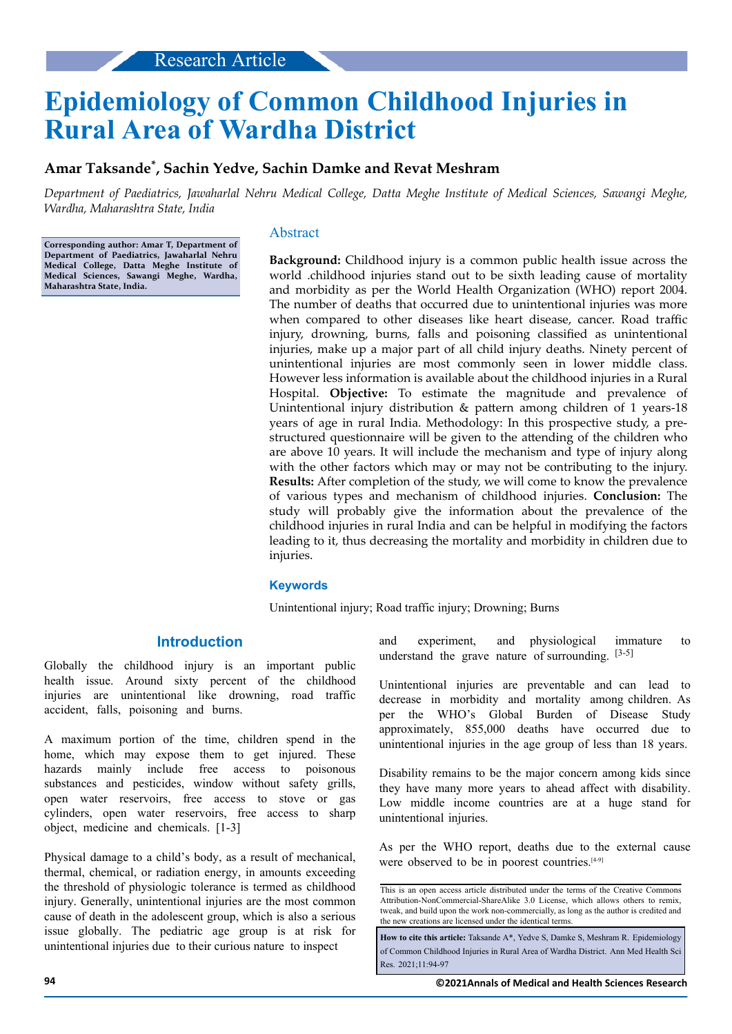# **Epidemiology of Common Childhood Injuries in Rural Area of Wardha District**

# **Amar Taksande\* , Sachin Yedve, Sachin Damke and Revat Meshram**

*Department of Paediatrics, Jawaharlal Nehru Medical College, Datta Meghe Institute of Medical Sciences, Sawangi Meghe, Wardha, Maharashtra State, India*

**Corresponding author: Amar T, Department of Department of Paediatrics, Jawaharlal Nehru Medical College, Datta Meghe Institute of Medical Sciences, Sawangi Meghe, Wardha, Maharashtra State, India.**

## Abstract

**Background:** Childhood injury is a common public health issue across the world .childhood injuries stand out to be sixth leading cause of mortality and morbidity as per the World Health Organization (WHO) report 2004. The number of deaths that occurred due to unintentional injuries was more when compared to other diseases like heart disease, cancer. Road traffic injury, drowning, burns, falls and poisoning classified as unintentional injuries, make up a major part of all child injury deaths. Ninety percent of unintentional injuries are most commonly seen in lower middle class. However less information is available about the childhood injuries in a Rural Hospital. **Objective:** To estimate the magnitude and prevalence of Unintentional injury distribution  $&$  pattern among children of 1 years-18 years of age in rural India. Methodology: In this prospective study, a prestructured questionnaire will be given to the attending of the children who are above 10 years. It will include the mechanism and type of injury along with the other factors which may or may not be contributing to the injury. **Results:** After completion of the study, we will come to know the prevalence of various types and mechanism of childhood injuries. **Conclusion:** The study will probably give the information about the prevalence of the childhood injuries in rural India and can be helpful in modifying the factors leading to it, thus decreasing the mortality and morbidity in children due to injuries.

## **Keywords**

Unintentional injury; Road traffic injury; Drowning; Burns

# **Introduction**

Globally the childhood injury is an important public health issue. Around sixty percent of the childhood injuries are unintentional like drowning, road traffic accident, falls, poisoning and burns.

A maximum portion of the time, children spend in the home, which may expose them to get injured. These hazards mainly include free access to poisonous substances and pesticides, window without safety grills, open water reservoirs, free access to stove or gas cylinders, open water reservoirs, free access to sharp object, medicine and chemicals. [1-3]

Physical damage to a child's body, as a result of mechanical, thermal, chemical, or radiation energy, in amounts exceeding the threshold of physiologic tolerance is termed as childhood injury. Generally, unintentional injuries are the most common cause of death in the adolescent group, which is also a serious issue globally. The pediatric age group is at risk for unintentional injuries due to their curious nature to inspect

and experiment, and physiological immature to understand the grave nature of surrounding.  $[3-5]$ 

Unintentional injuries are preventable and can lead to decrease in morbidity and mortality among children. As per the WHO's Global Burden of Disease Study approximately, 855,000 deaths have occurred due to unintentional injuries in the age group of less than 18 years.

Disability remains to be the major concern among kids since they have many more years to ahead affect with disability. Low middle income countries are at a huge stand for unintentional injuries.

As per the WHO report, deaths due to the external cause were observed to be in poorest countries.<sup>[4-9]</sup>

This is an open access article distributed under the terms of the Creative Commons Attribution-NonCommercial-ShareAlike 3.0 License, which allows others to remix, tweak, and build upon the work non‑commercially, as long as the author is credited and the new creations are licensed under the identical terms.

**How to cite this article:** Taksande A\*, Yedve S, Damke S, Meshram R. Epidemiology of Common Childhood Injuries in Rural Area of Wardha District. Ann Med Health Sci Res. 2021;11:94-97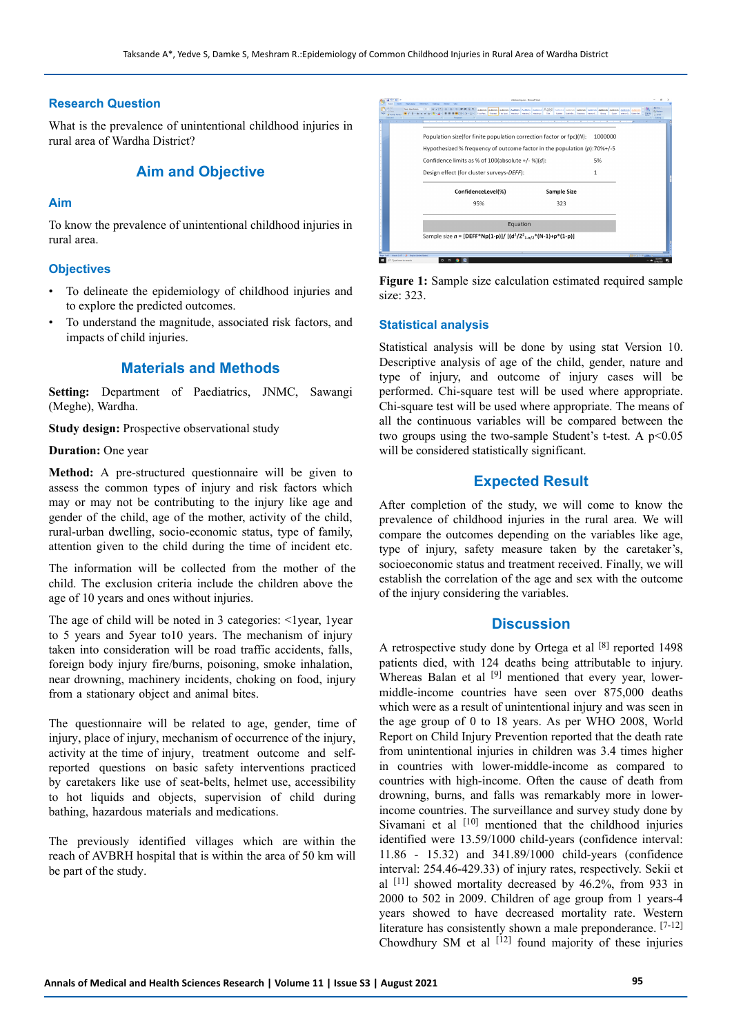#### **Research Question**

What is the prevalence of unintentional childhood injuries in rural area of Wardha District?

# **Aim and Objective**

#### **Aim**

To know the prevalence of unintentional childhood injuries in rural area.

#### **Objectives**

- To delineate the epidemiology of childhood injuries and to explore the predicted outcomes.
- To understand the magnitude, associated risk factors, and impacts of child injuries.

# **Materials and Methods**

**Setting:** Department of Paediatrics, JNMC, Sawangi (Meghe), Wardha.

**Study design:** Prospective observational study

#### **Duration:** One year

**Method:** A pre-structured questionnaire will be given to assess the common types of injury and risk factors which may or may not be contributing to the injury like age and gender of the child, age of the mother, activity of the child, rural-urban dwelling, socio-economic status, type of family, attention given to the child during the time of incident etc.

The information will be collected from the mother of the child. The exclusion criteria include the children above the age of 10 years and ones without injuries.

The age of child will be noted in 3 categories: <1year, 1year to 5 years and 5year to10 years. The mechanism of injury taken into consideration will be road traffic accidents, falls, foreign body injury fire/burns, poisoning, smoke inhalation, near drowning, machinery incidents, choking on food, injury from a stationary object and animal bites.

The questionnaire will be related to age, gender, time of injury, place of injury, mechanism of occurrence of the injury, activity at the time of injury, treatment outcome and selfreported questions on basic safety interventions practiced by caretakers like use of seat-belts, helmet use, accessibility to hot liquids and objects, supervision of child during bathing, hazardous materials and medications.

The previously identified villages which are within the reach of AVBRH hospital that is within the area of 50 km will be part of the study.

|                                                                                                                                                    | ARECOX ARRESTS ARRESTS ARREST ARRESTS ARRESTS ARRESTS ARRESTS ARRESTS ARRESTS ARRESTS ARRESTS ARRESTS<br>Tüthes Thomas Thodasis Healing Healings Thomas The Super Service Expects Interest Story Code Interests Services |         | <b>Millena</b><br><b>CL Fasher</b> |
|----------------------------------------------------------------------------------------------------------------------------------------------------|--------------------------------------------------------------------------------------------------------------------------------------------------------------------------------------------------------------------------|---------|------------------------------------|
| the first state of the product of the content of the content of the content<br>Population size(for finite population correction factor or fpc)(N): |                                                                                                                                                                                                                          | 1000000 |                                    |
| Hypothesized % frequency of outcome factor in the population (p): 70%+/-5                                                                          |                                                                                                                                                                                                                          |         |                                    |
|                                                                                                                                                    | Confidence limits as % of 100(absolute +/- %)(d):                                                                                                                                                                        |         |                                    |
| Design effect (for cluster surveys-DEFF):                                                                                                          |                                                                                                                                                                                                                          |         |                                    |
| ConfidenceLevel(%)                                                                                                                                 | <b>Sample Size</b>                                                                                                                                                                                                       |         |                                    |
| 95%                                                                                                                                                | 323                                                                                                                                                                                                                      |         |                                    |
| Equation                                                                                                                                           |                                                                                                                                                                                                                          |         |                                    |
| Sample size $n = [DEF*Np(1-p)] / [(d^2/Z_{1-\alpha/2}^2*(N-1)+p*(1-p)]$                                                                            |                                                                                                                                                                                                                          |         |                                    |

**Figure 1:** Sample size calculation estimated required sample size: 323.

#### **Statistical analysis**

Statistical analysis will be done by using stat Version 10. Descriptive analysis of age of the child, gender, nature and type of injury, and outcome of injury cases will be performed. Chi-square test will be used where appropriate. Chi-square test will be used where appropriate. The means of all the continuous variables will be compared between the two groups using the two-sample Student's t-test. A  $p<0.05$ will be considered statistically significant.

## **Expected Result**

After completion of the study, we will come to know the prevalence of childhood injuries in the rural area. We will compare the outcomes depending on the variables like age, type of injury, safety measure taken by the caretaker's, socioeconomic status and treatment received. Finally, we will establish the correlation of the age and sex with the outcome of the injury considering the variables.

## **Discussion**

A retrospective study done by Ortega et al [8] reported 1498 patients died, with 124 deaths being attributable to injury. Whereas Balan et al <sup>[9]</sup> mentioned that every year, lowermiddle-income countries have seen over 875,000 deaths which were as a result of unintentional injury and was seen in the age group of 0 to 18 years. As per WHO 2008, World Report on Child Injury Prevention reported that the death rate from unintentional injuries in children was 3.4 times higher in countries with lower-middle-income as compared to countries with high-income. Often the cause of death from drowning, burns, and falls was remarkably more in lowerincome countries. The surveillance and survey study done by Sivamani et al  $[10]$  mentioned that the childhood injuries identified were 13.59/1000 child-years (confidence interval: 11.86 - 15.32) and 341.89/1000 child-years (confidence interval: 254.46-429.33) of injury rates, respectively. Sekii et al [11] showed mortality decreased by 46.2%, from 933 in 2000 to 502 in 2009. Children of age group from 1 years-4 years showed to have decreased mortality rate. Western literature has consistently shown a male preponderance. [7-12] Chowdhury SM et al  $[12]$  found majority of these injuries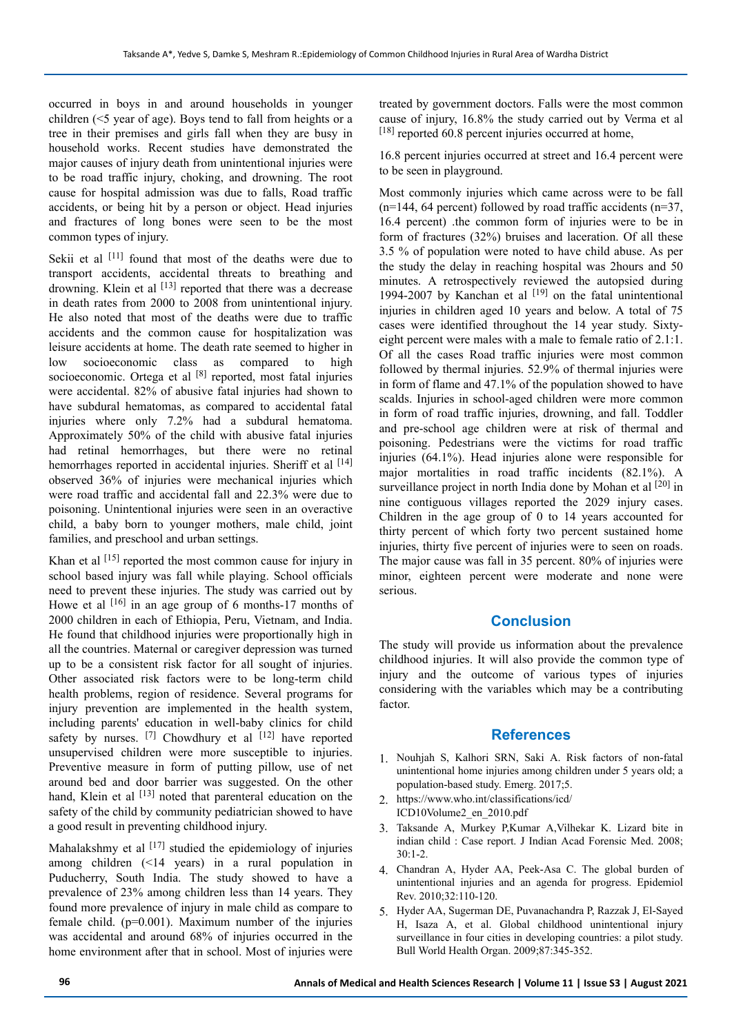occurred in boys in and around households in younger children (<5 year of age). Boys tend to fall from heights or a tree in their premises and girls fall when they are busy in household works. Recent studies have demonstrated the major causes of injury death from unintentional injuries were to be road traffic injury, choking, and drowning. The root cause for hospital admission was due to falls, Road traffic accidents, or being hit by a person or object. Head injuries and fractures of long bones were seen to be the most common types of injury.

Sekii et al <sup>[11]</sup> found that most of the deaths were due to transport accidents, accidental threats to breathing and drowning. Klein et al <sup>[13]</sup> reported that there was a decrease in death rates from 2000 to 2008 from unintentional injury. He also noted that most of the deaths were due to traffic accidents and the common cause for hospitalization was leisure accidents at home. The death rate seemed to higher in low socioeconomic class as compared to high socioeconomic. Ortega et al [8] reported, most fatal injuries were accidental. 82% of abusive fatal injuries had shown to have subdural hematomas, as compared to accidental fatal injuries where only 7.2% had a subdural hematoma. Approximately 50% of the child with abusive fatal injuries had retinal hemorrhages, but there were no retinal hemorrhages reported in accidental injuries. Sheriff et al [14] observed 36% of injuries were mechanical injuries which were road traffic and accidental fall and 22.3% were due to poisoning. Unintentional injuries were seen in an overactive child, a baby born to younger mothers, male child, joint families, and preschool and urban settings.

Khan et al <sup>[15]</sup> reported the most common cause for injury in school based injury was fall while playing. School officials need to prevent these injuries. The study was carried out by Howe et al [16] in an age group of 6 months-17 months of 2000 children in each of Ethiopia, Peru, Vietnam, and India. He found that childhood injuries were proportionally high in all the countries. Maternal or caregiver depression was turned up to be a consistent risk factor for all sought of injuries. Other associated risk factors were to be long-term child health problems, region of residence. Several programs for injury prevention are implemented in the health system, including parents' education in well-baby clinics for child safety by nurses.  $[7]$  Chowdhury et al  $[12]$  have reported unsupervised children were more susceptible to injuries. Preventive measure in form of putting pillow, use of net around bed and door barrier was suggested. On the other hand, Klein et al <a>[13]</a> noted that parenteral education on the safety of the child by community pediatrician showed to have a good result in preventing childhood injury.

Mahalakshmy et al  $[17]$  studied the epidemiology of injuries among children (<14 years) in a rural population in Puducherry, South India. The study showed to have a prevalence of 23% among children less than 14 years. They found more prevalence of injury in male child as compare to female child.  $(p=0.001)$ . Maximum number of the injuries was accidental and around 68% of injuries occurred in the home environment after that in school. Most of injuries were treated by government doctors. Falls were the most common cause of injury, 16.8% the study carried out by Verma et al  $[18]$  reported 60.8 percent injuries occurred at home,

16.8 percent injuries occurred at street and 16.4 percent were to be seen in playground.

Most commonly injuries which came across were to be fall  $(n=144, 64$  percent) followed by road traffic accidents  $(n=37, 64)$ 16.4 percent) .the common form of injuries were to be in form of fractures (32%) bruises and laceration. Of all these 3.5 % of population were noted to have child abuse. As per the study the delay in reaching hospital was 2hours and 50 minutes. A retrospectively reviewed the autopsied during 1994-2007 by Kanchan et al  $[19]$  on the fatal unintentional injuries in children aged 10 years and below. A total of 75 cases were identified throughout the 14 year study. Sixtyeight percent were males with a male to female ratio of 2.1:1. Of all the cases Road traffic injuries were most common followed by thermal injuries. 52.9% of thermal injuries were in form of flame and 47.1% of the population showed to have scalds. Injuries in school-aged children were more common in form of road traffic injuries, drowning, and fall. Toddler and pre-school age children were at risk of thermal and poisoning. Pedestrians were the victims for road traffic injuries (64.1%). Head injuries alone were responsible for major mortalities in road traffic incidents (82.1%). A surveillance project in north India done by Mohan et al [20] in nine contiguous villages reported the 2029 injury cases. Children in the age group of 0 to 14 years accounted for thirty percent of which forty two percent sustained home injuries, thirty five percent of injuries were to seen on roads. The major cause was fall in 35 percent. 80% of injuries were minor, eighteen percent were moderate and none were serious.

## **Conclusion**

The study will provide us information about the prevalence childhood injuries. It will also provide the common type of injury and the outcome of various types of injuries considering with the variables which may be a contributing factor.

#### **References**

- 1. Nouhjah S, Kalhori SRN, Saki A. Risk factors of non-fatal unintentional home injuries among children under 5 years old; a population-based study. Emerg. 2017;5.
- 2. https://www.who.int/classifications/icd/ ICD10Volume2\_en\_2010.pdf
- 3. Taksande A, Murkey P,Kumar A,Vilhekar K. Lizard bite in indian child : Case report. J Indian Acad Forensic Med. 2008; 30:1-2.
- 4. Chandran A, Hyder AA, Peek-Asa C. The global burden of unintentional injuries and an agenda for progress. Epidemiol Rev. 2010;32:110-120.
- 5. Hyder AA, Sugerman DE, Puvanachandra P, Razzak J, El-Sayed H, Isaza A, et al. Global childhood unintentional injury surveillance in four cities in developing countries: a pilot study. Bull World Health Organ. 2009;87:345-352.